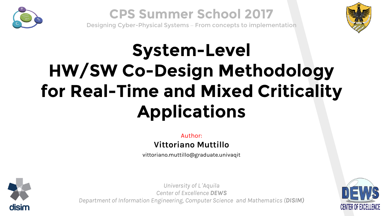

### **CPS Summer School 2017**

Designing Cyber-Physical Systems – From concepts to implementation



## **System-Level HW/SW Co-Design Methodology for Real-Time and Mixed Criticality Applications**

*Author: Vittoriano Muttillo*

*vittoriano.muttillo@graduate.univaqit*



University of L*'*Aquila Center of Excellence *DEWS* Department of Information Engineering, Computer Science and Mathematics (*DISIM)* 

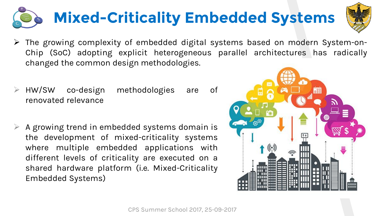## **Mixed-Criticality Embedded Systems**

- *The growing complexity of embedded digital systems based on modern System-on-Chip (SoC) adopting explicit heterogeneous parallel architectures has radically changed the common design methodologies.*
- *HW/SW co-design methodologies are of renovated relevance*
- *A growing trend in embedded systems domain is the development of mixed-criticality systems where multiple embedded applications with different levels of criticality are executed on a shared hardware platform (i.e. Mixed-Criticality Embedded Systems)*



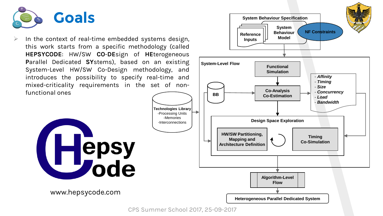

 *In the context of real-time embedded systems design, this work starts from a specific methodology (called HEPSYCODE: HW/SW CO-DEsign of HEterogeneous Parallel Dedicated SYstems), based on an existing System-Level HW/SW Co-Design methodology, and introduces the possibility to specify real-time and mixed-criticality requirements in the set of nonfunctional ones*





*www.hepsycode.com*



-Interconnections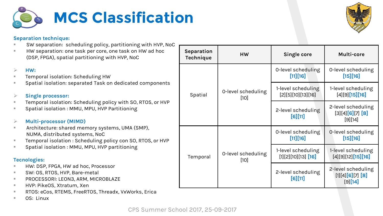



*SW separation: scheduling policy, partitioning with HVP, NoC*

**MCS Classification**

 *HW separation: one task per core, one task on HW ad hoc (DSP, FPGA), spatial partitioning with HVP, NoC*

#### *HW:*

- *Temporal isolation: Scheduling HW*
- *Spatial isolation: separated Task on dedicated components*

#### *Single processor:*

- *Temporal isolation: Scheduling policy with SO, RTOS, or HVP*
- *Spatial isolation : MMU, MPU, HVP Partitioning*

#### *Multi-processor (MIMD)*

- *Architecture: shared memory systems, UMA (SMP), NUMA, distributed systems, NoC*
- *Temporal isolation : Scheduling policy con SO, RTOS, or HVP*
- *Spatial isolation : MMU, MPU, HVP partitioning*

#### *Tecnologies:*

- *HW: DSP, FPGA, HW ad hoc, Processor*
- *SW: OS, RTOS, HVP, Bare-metal*
- *PROCESSORI: LEON3, ARM, MICROBLAZE*
- *HVP: PikeOS, Xtratum, Xen*
- *RTOS: eCos, RTEMS, FreeRTOS, Threadx, VxWorks, Erica*
- *OS: Linux*

| Separation<br>Technique | <b>HW</b>                    | Single core                                 | Multi-core                                        |
|-------------------------|------------------------------|---------------------------------------------|---------------------------------------------------|
| Spatial                 | 0-level scheduling<br>$[10]$ | 0-level scheduling<br>[11][16]              | 0-level scheduling<br>$[15][16]$                  |
|                         |                              | 1-level scheduling<br>[2][5][10][13][16]    | 1-level scheduling<br>[4][9][15][16]              |
|                         |                              | 2-level scheduling<br>$[6][11]$             | 2-level scheduling<br>[3][4][6][7][8]<br>[9][14]  |
| Temporal                | 0-level scheduling<br>[10]   | 0-level scheduling<br>[11][16]              | 0-level scheduling<br>$[15][16]$                  |
|                         |                              | 1-level scheduling<br>$[1][2][10][13]$ [16] | 1-level scheduling<br>[4][9][12][15][16]          |
|                         |                              | 2-level scheduling<br>$[6][11]$             | 2-level scheduling<br>[1][4][6][7][8]<br>[9] [14] |

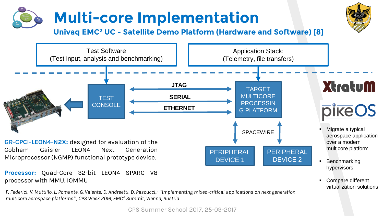

*Processor: Quad-Core 32-bit LEON4 SPARC V8 processor with MMU, IOMMU*

F. Federici, V. Muttillo, L. Pomante, G. Valente, D. Andreetti, D. Pascucci,: *"*Implementing mixed-critical applications on next generation multicore aerospace platforms*"*, CPS Week 2016, EMC*²* Summit, Vienna, Austria

*CPS Summer School 2017, 25-09-2017*

• Compare different virtualization solutions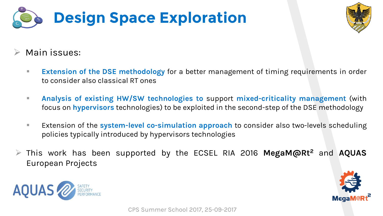



### *Main issues:*

- *Extension of the DSE methodology for a better management of timing requirements in order to consider also classical RT ones*
- *Analysis of existing HW/SW technologies to support mixed-criticality management (with focus on hypervisors technologies) to be exploited in the second-step of the DSE methodology*
- *Extension of the system-level co-simulation approach to consider also two-levels scheduling policies typically introduced by hypervisors technologies*
- *This work has been supported by the ECSEL RIA 2016 MegaM@Rt<sup>2</sup> and AQUAS European Projects*